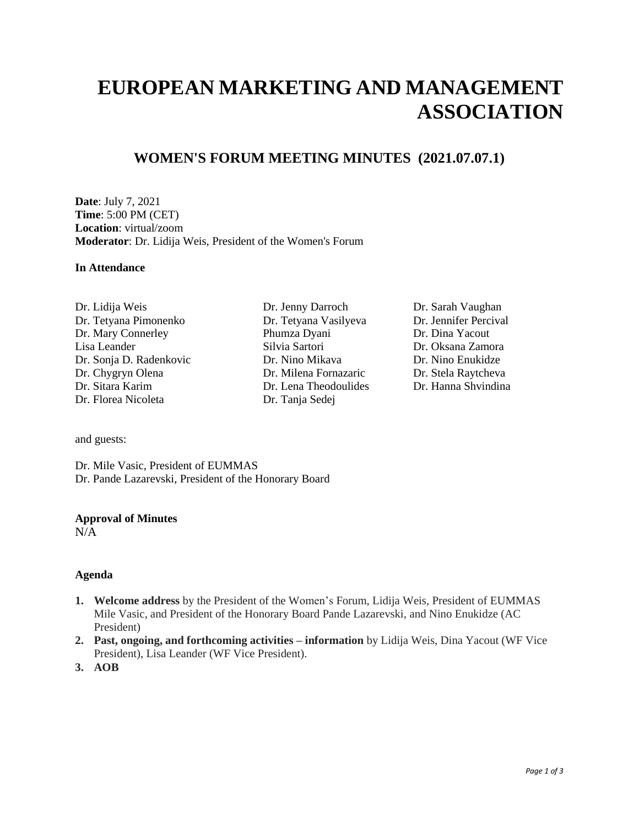# **EUROPEAN MARKETING AND MANAGEMENT ASSOCIATION**

### **WOMEN'S FORUM MEETING MINUTES (2021.07.07.1)**

**Date**: July 7, 2021 **Time**: 5:00 PM (CET) **Location**: virtual/zoom **Moderator**: Dr. Lidija Weis, President of the Women's Forum

#### **In Attendance**

Dr. Lidija Weis Dr. Jenny Darroch Dr. Sarah Vaughan Dr. Tetyana Pimonenko Dr. Tetyana Vasilyeva Dr. Jennifer Percival Dr. Mary Connerley Phumza Dyani Dr. Dina Yacout Lisa Leander Silvia Sartori Dr. Oksana Zamora Dr. Sonja D. Radenkovic Dr. Nino Mikava Dr. Nino Enukidze Dr. Chygryn Olena Dr. Milena Fornazaric Dr. Stela Raytcheva Dr. Florea Nicoleta Dr. Tanja Sedej

- Dr. Lena Theodoulides
- 

and guests:

Dr. Mile Vasic, President of EUMMAS Dr. Pande Lazarevski, President of the Honorary Board

#### **Approval of Minutes**

 $N/A$ 

#### **Agenda**

- **1. Welcome address** by the President of the Women's Forum, Lidija Weis, President of EUMMAS Mile Vasic, and President of the Honorary Board Pande Lazarevski, and Nino Enukidze (AC President)
- **2. Past, ongoing, and forthcoming activities – information** by Lidija Weis, Dina Yacout (WF Vice President), Lisa Leander (WF Vice President).
- **3. AOB**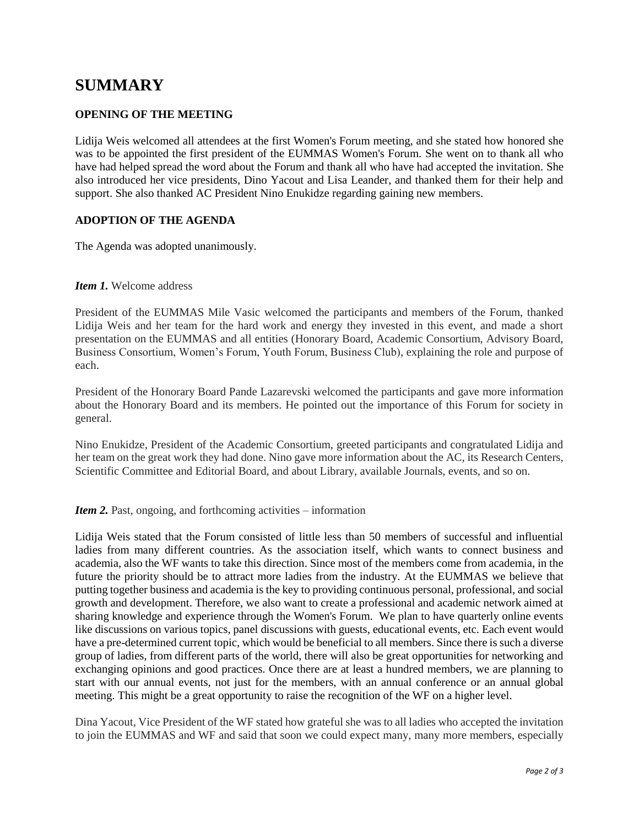## **SUMMARY**

#### **OPENING OF THE MEETING**

Lidija Weis welcomed all attendees at the first Women's Forum meeting, and she stated how honored she was to be appointed the first president of the EUMMAS Women's Forum. She went on to thank all who have had helped spread the word about the Forum and thank all who have had accepted the invitation. She also introduced her vice presidents, Dino Yacout and Lisa Leander, and thanked them for their help and support. She also thanked AC President Nino Enukidze regarding gaining new members.

#### **ADOPTION OF THE AGENDA**

The Agenda was adopted unanimously.

#### *Item 1.* Welcome address

President of the EUMMAS Mile Vasic welcomed the participants and members of the Forum, thanked Lidija Weis and her team for the hard work and energy they invested in this event, and made a short presentation on the EUMMAS and all entities (Honorary Board, Academic Consortium, Advisory Board, Business Consortium, Women's Forum, Youth Forum, Business Club), explaining the role and purpose of each.

President of the Honorary Board Pande Lazarevski welcomed the participants and gave more information about the Honorary Board and its members. He pointed out the importance of this Forum for society in general.

Nino Enukidze, President of the Academic Consortium, greeted participants and congratulated Lidija and her team on the great work they had done. Nino gave more information about the AC, its Research Centers, Scientific Committee and Editorial Board, and about Library, available Journals, events, and so on.

*Item 2.* Past, ongoing, and forthcoming activities – information

Lidija Weis stated that the Forum consisted of little less than 50 members of successful and influential ladies from many different countries. As the association itself, which wants to connect business and academia, also the WF wants to take this direction. Since most of the members come from academia, in the future the priority should be to attract more ladies from the industry. At the EUMMAS we believe that putting together business and academia is the key to providing continuous personal, professional, and social growth and development. Therefore, we also want to create a professional and academic network aimed at sharing knowledge and experience through the Women's Forum. We plan to have quarterly online events like discussions on various topics, panel discussions with guests, educational events, etc. Each event would have a pre-determined current topic, which would be beneficial to all members. Since there is such a diverse group of ladies, from different parts of the world, there will also be great opportunities for networking and exchanging opinions and good practices. Once there are at least a hundred members, we are planning to start with our annual events, not just for the members, with an annual conference or an annual global meeting. This might be a great opportunity to raise the recognition of the WF on a higher level.

Dina Yacout, Vice President of the WF stated how grateful she was to all ladies who accepted the invitation to join the EUMMAS and WF and said that soon we could expect many, many more members, especially